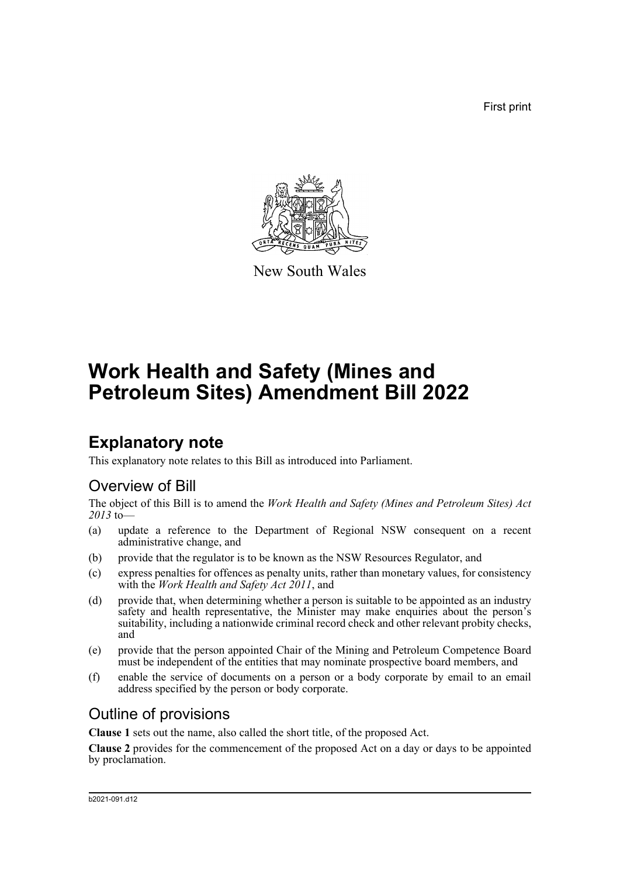First print



New South Wales

# **Work Health and Safety (Mines and Petroleum Sites) Amendment Bill 2022**

## **Explanatory note**

This explanatory note relates to this Bill as introduced into Parliament.

### Overview of Bill

The object of this Bill is to amend the *Work Health and Safety (Mines and Petroleum Sites) Act 2013* to—

- (a) update a reference to the Department of Regional NSW consequent on a recent administrative change, and
- (b) provide that the regulator is to be known as the NSW Resources Regulator, and
- (c) express penalties for offences as penalty units, rather than monetary values, for consistency with the *Work Health and Safety Act 2011*, and
- (d) provide that, when determining whether a person is suitable to be appointed as an industry safety and health representative, the Minister may make enquiries about the person's suitability, including a nationwide criminal record check and other relevant probity checks, and
- (e) provide that the person appointed Chair of the Mining and Petroleum Competence Board must be independent of the entities that may nominate prospective board members, and
- (f) enable the service of documents on a person or a body corporate by email to an email address specified by the person or body corporate.

### Outline of provisions

**Clause 1** sets out the name, also called the short title, of the proposed Act.

**Clause 2** provides for the commencement of the proposed Act on a day or days to be appointed by proclamation.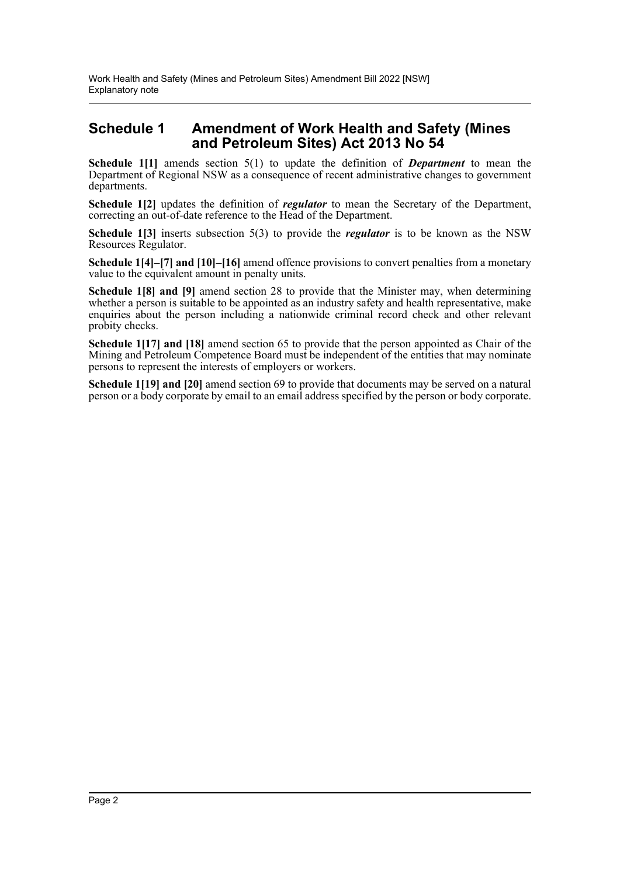#### **Schedule 1 Amendment of Work Health and Safety (Mines and Petroleum Sites) Act 2013 No 54**

**Schedule 1[1]** amends section 5(1) to update the definition of *Department* to mean the Department of Regional NSW as a consequence of recent administrative changes to government departments.

**Schedule 1[2]** updates the definition of *regulator* to mean the Secretary of the Department, correcting an out-of-date reference to the Head of the Department.

**Schedule 1[3]** inserts subsection 5(3) to provide the *regulator* is to be known as the NSW Resources Regulator.

**Schedule 1[4]–[7] and [10]–[16]** amend offence provisions to convert penalties from a monetary value to the equivalent amount in penalty units.

**Schedule 1[8] and [9]** amend section 28 to provide that the Minister may, when determining whether a person is suitable to be appointed as an industry safety and health representative, make enquiries about the person including a nationwide criminal record check and other relevant probity checks.

**Schedule 1[17] and [18]** amend section 65 to provide that the person appointed as Chair of the Mining and Petroleum Competence Board must be independent of the entities that may nominate persons to represent the interests of employers or workers.

**Schedule 1[19] and [20]** amend section 69 to provide that documents may be served on a natural person or a body corporate by email to an email address specified by the person or body corporate.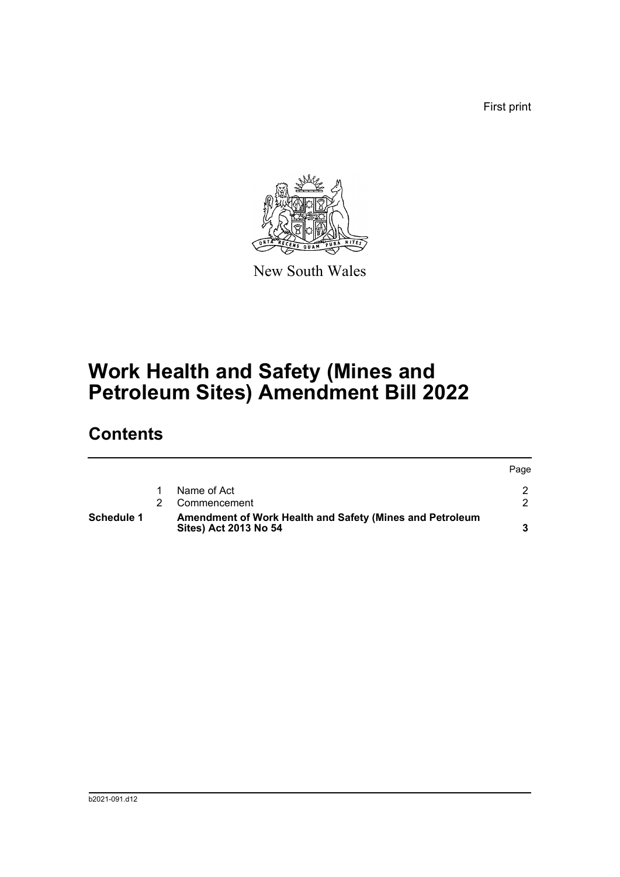First print



New South Wales

# **Work Health and Safety (Mines and Petroleum Sites) Amendment Bill 2022**

### **Contents**

|            |                                                                                   | Page |
|------------|-----------------------------------------------------------------------------------|------|
|            | Name of Act                                                                       |      |
|            | Commencement                                                                      |      |
| Schedule 1 | Amendment of Work Health and Safety (Mines and Petroleum<br>Sites) Act 2013 No 54 |      |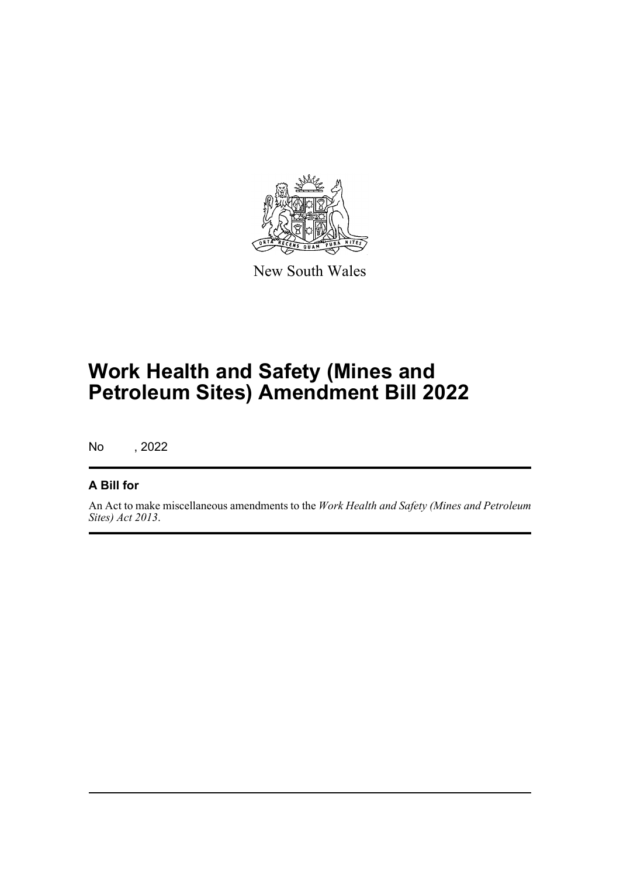

New South Wales

# **Work Health and Safety (Mines and Petroleum Sites) Amendment Bill 2022**

No , 2022

#### **A Bill for**

An Act to make miscellaneous amendments to the *Work Health and Safety (Mines and Petroleum Sites) Act 2013*.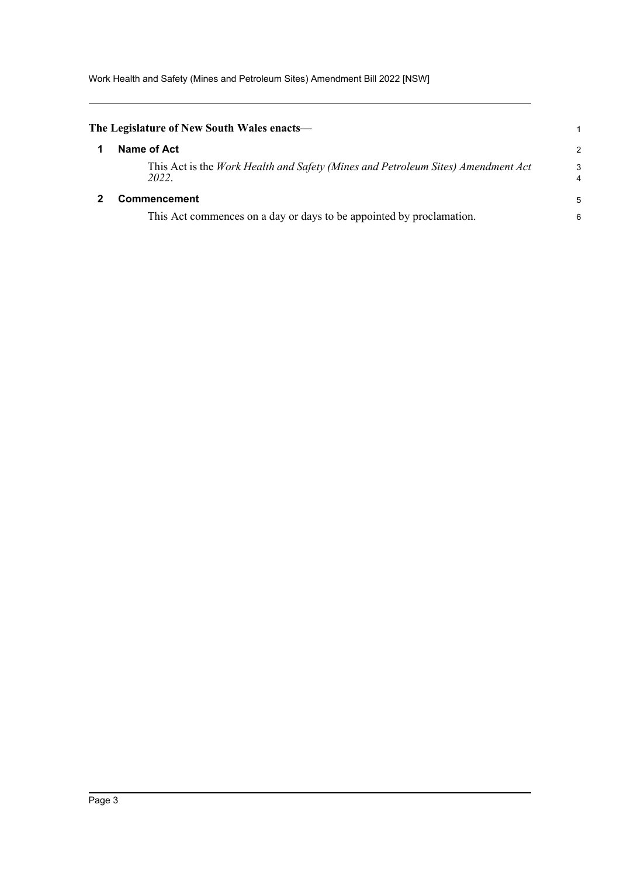<span id="page-4-1"></span><span id="page-4-0"></span>

| The Legislature of New South Wales enacts—                                                |        |
|-------------------------------------------------------------------------------------------|--------|
| Name of Act                                                                               | 2      |
| This Act is the Work Health and Safety (Mines and Petroleum Sites) Amendment Act<br>2022. | 3<br>4 |
| <b>Commencement</b>                                                                       |        |
| This Act commences on a day or days to be appointed by proclamation.                      | 6      |
|                                                                                           |        |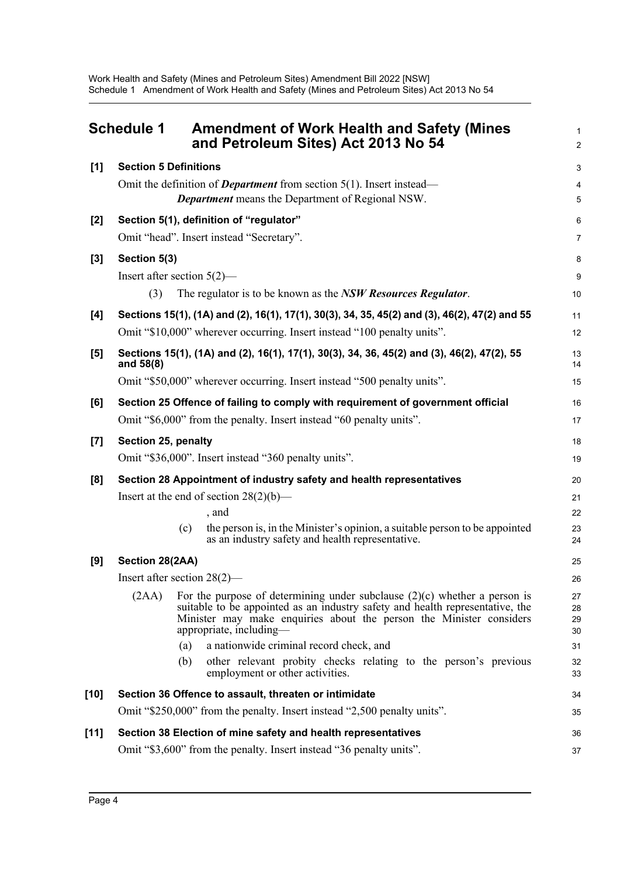<span id="page-5-0"></span>

|                  | <b>Schedule 1</b>                                                                                                                         |     | <b>Amendment of Work Health and Safety (Mines</b><br>and Petroleum Sites) Act 2013 No 54                                                                                                                                                                       | $\mathbf{1}$<br>$\overline{2}$ |  |  |  |
|------------------|-------------------------------------------------------------------------------------------------------------------------------------------|-----|----------------------------------------------------------------------------------------------------------------------------------------------------------------------------------------------------------------------------------------------------------------|--------------------------------|--|--|--|
| [1]              | <b>Section 5 Definitions</b>                                                                                                              |     |                                                                                                                                                                                                                                                                |                                |  |  |  |
|                  | Omit the definition of <i>Department</i> from section $5(1)$ . Insert instead—<br><b>Department</b> means the Department of Regional NSW. |     |                                                                                                                                                                                                                                                                |                                |  |  |  |
| $[2]$            |                                                                                                                                           |     | Section 5(1), definition of "regulator"<br>Omit "head". Insert instead "Secretary".                                                                                                                                                                            | 6<br>$\overline{7}$            |  |  |  |
| $[3]$            | Section 5(3)                                                                                                                              |     |                                                                                                                                                                                                                                                                | 8                              |  |  |  |
|                  | Insert after section $5(2)$ —                                                                                                             |     |                                                                                                                                                                                                                                                                | $\boldsymbol{9}$               |  |  |  |
|                  | (3)                                                                                                                                       |     | The regulator is to be known as the <i>NSW Resources Regulator</i> .                                                                                                                                                                                           | 10                             |  |  |  |
| [4]              |                                                                                                                                           |     | Sections 15(1), (1A) and (2), 16(1), 17(1), 30(3), 34, 35, 45(2) and (3), 46(2), 47(2) and 55                                                                                                                                                                  | 11                             |  |  |  |
|                  |                                                                                                                                           |     | Omit "\$10,000" wherever occurring. Insert instead "100 penalty units".                                                                                                                                                                                        | 12                             |  |  |  |
| [5]              | and 58(8)                                                                                                                                 |     | Sections 15(1), (1A) and (2), 16(1), 17(1), 30(3), 34, 36, 45(2) and (3), 46(2), 47(2), 55                                                                                                                                                                     | 13<br>14                       |  |  |  |
|                  |                                                                                                                                           |     | Omit "\$50,000" wherever occurring. Insert instead "500 penalty units".                                                                                                                                                                                        | 15                             |  |  |  |
| [6]              | Section 25 Offence of failing to comply with requirement of government official                                                           |     |                                                                                                                                                                                                                                                                |                                |  |  |  |
|                  |                                                                                                                                           |     | Omit "\$6,000" from the penalty. Insert instead "60 penalty units".                                                                                                                                                                                            | 17                             |  |  |  |
| $\left[7\right]$ | Section 25, penalty                                                                                                                       |     |                                                                                                                                                                                                                                                                | 18                             |  |  |  |
|                  |                                                                                                                                           |     | Omit "\$36,000". Insert instead "360 penalty units".                                                                                                                                                                                                           | 19                             |  |  |  |
| [8]              |                                                                                                                                           |     | Section 28 Appointment of industry safety and health representatives                                                                                                                                                                                           | 20                             |  |  |  |
|                  |                                                                                                                                           |     | Insert at the end of section $28(2)(b)$ —                                                                                                                                                                                                                      | 21                             |  |  |  |
|                  |                                                                                                                                           |     | , and                                                                                                                                                                                                                                                          | 22                             |  |  |  |
|                  |                                                                                                                                           | (c) | the person is, in the Minister's opinion, a suitable person to be appointed<br>as an industry safety and health representative.                                                                                                                                | 23<br>24                       |  |  |  |
| [9]              | Section 28(2AA)                                                                                                                           |     |                                                                                                                                                                                                                                                                | 25                             |  |  |  |
|                  | Insert after section $28(2)$ —                                                                                                            |     |                                                                                                                                                                                                                                                                | 26                             |  |  |  |
|                  | (2AA)                                                                                                                                     |     | For the purpose of determining under subclause $(2)(c)$ whether a person is<br>suitable to be appointed as an industry safety and health representative, the<br>Minister may make enquiries about the person the Minister considers<br>appropriate, including— | 27<br>28<br>29<br>30           |  |  |  |
|                  |                                                                                                                                           | (a) | a nationwide criminal record check, and                                                                                                                                                                                                                        | 31                             |  |  |  |
|                  |                                                                                                                                           | (b) | other relevant probity checks relating to the person's previous<br>employment or other activities.                                                                                                                                                             | 32<br>33                       |  |  |  |
| [10]             | Section 36 Offence to assault, threaten or intimidate                                                                                     |     |                                                                                                                                                                                                                                                                |                                |  |  |  |
|                  | Omit "\$250,000" from the penalty. Insert instead "2,500 penalty units".                                                                  |     |                                                                                                                                                                                                                                                                |                                |  |  |  |
| $[11]$           | Section 38 Election of mine safety and health representatives                                                                             |     |                                                                                                                                                                                                                                                                |                                |  |  |  |
|                  | Omit "\$3,600" from the penalty. Insert instead "36 penalty units".                                                                       |     |                                                                                                                                                                                                                                                                |                                |  |  |  |